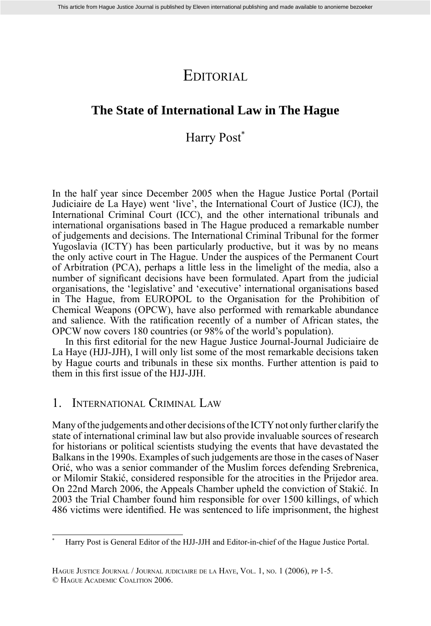# EDITORIAL

### **The State of International Law in The Hague**

## Harry Post<sup>\*</sup>

In the half year since December 2005 when the Hague Justice Portal (Portail Judiciaire de La Haye) went 'live', the International Court of Justice (ICJ), the International Criminal Court (ICC), and the other international tribunals and international organisations based in The Hague produced a remarkable number of judgements and decisions. The International Criminal Tribunal for the former Yugoslavia (ICTY) has been particularly productive, but it was by no means the only active court in The Hague. Under the auspices of the Permanent Court of Arbitration (PCA), perhaps a little less in the limelight of the media, also a number of significant decisions have been formulated. Apart from the judicial organisations, the 'legislative' and 'executive' international organisations based in The Hague, from EUROPOL to the Organisation for the Prohibition of Chemical Weapons (OPCW), have also performed with remarkable abundance and salience. With the ratification recently of a number of African states, the OPCW now covers 180 countries (or 98% of the world's population).

In this first editorial for the new Hague Justice Journal-Journal Judiciaire de La Haye (HJJ-JJH), I will only list some of the most remarkable decisions taken by Hague courts and tribunals in these six months. Further attention is paid to them in this first issue of the HJJ-JJH.

### 1. INTERNATIONAL CRIMINAL LAW

Many of the judgements and other decisions of the ICTY not only further clarify the state of international criminal law but also provide invaluable sources of research for historians or political scientists studying the events that have devastated the Balkans in the 1990s. Examples of such judgements are those in the cases of Naser Orić, who was a senior commander of the Muslim forces defending Srebrenica, or Milomir Stakić, considered responsible for the atrocities in the Prijedor area. On 22nd March 2006, the Appeals Chamber upheld the conviction of Stakić. In 2003 the Trial Chamber found him responsible for over 1500 killings, of which 486 victims were identified. He was sentenced to life imprisonment, the highest

<sup>\*</sup> Harry Post is General Editor of the HJJ-JJH and Editor-in-chief of the Hague Justice Portal.

HAGUE JUSTICE JOURNAL / JOURNAL JUDICIAIRE DE LA HAYE, VOL. 1, NO. 1 (2006), PP 1-5. © HAGUE ACADEMIC COALITION 2006.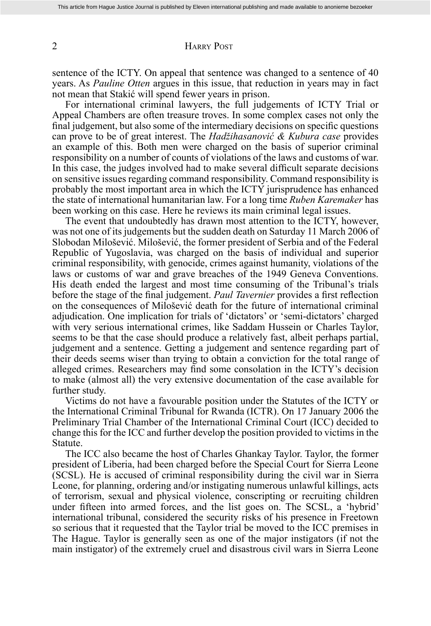#### 2 HARRY POST

sentence of the ICTY. On appeal that sentence was changed to a sentence of 40 years. As *Pauline Otten* argues in this issue, that reduction in years may in fact not mean that Stakić will spend fewer years in prison.

 For international criminal lawyers, the full judgements of ICTY Trial or Appeal Chambers are often treasure troves. In some complex cases not only the final judgement, but also some of the intermediary decisions on specific questions can prove to be of great interest. The *Hadžihasanović & Kubura case* provides an example of this. Both men were charged on the basis of superior criminal responsibility on a number of counts of violations of the laws and customs of war. In this case, the judges involved had to make several difficult separate decisions on sensitive issues regarding command responsibility. Command responsibility is probably the most important area in which the ICTY jurisprudence has enhanced the state of international humanitarian law. For a long time *Ruben Karemaker* has been working on this case. Here he reviews its main criminal legal issues.

 The event that undoubtedly has drawn most attention to the ICTY, however, was not one of its judgements but the sudden death on Saturday 11 March 2006 of Slobodan Milošević. Milošević, the former president of Serbia and of the Federal Republic of Yugoslavia, was charged on the basis of individual and superior criminal responsibility, with genocide, crimes against humanity, violations of the laws or customs of war and grave breaches of the 1949 Geneva Conventions. His death ended the largest and most time consuming of the Tribunal's trials before the stage of the final judgement. *Paul Tavernier* provides a first reflection on the consequences of Milošević death for the future of international criminal adjudication. One implication for trials of 'dictators' or 'semi-dictators' charged with very serious international crimes, like Saddam Hussein or Charles Taylor, seems to be that the case should produce a relatively fast, albeit perhaps partial, judgement and a sentence. Getting a judgement and sentence regarding part of their deeds seems wiser than trying to obtain a conviction for the total range of alleged crimes. Researchers may find some consolation in the ICTY's decision to make (almost all) the very extensive documentation of the case available for further study.

 Victims do not have a favourable position under the Statutes of the ICTY or the International Criminal Tribunal for Rwanda (ICTR). On 17 January 2006 the Preliminary Trial Chamber of the International Criminal Court (ICC) decided to change this for the ICC and further develop the position provided to victims in the Statute.

 The ICC also became the host of Charles Ghankay Taylor. Taylor, the former president of Liberia, had been charged before the Special Court for Sierra Leone (SCSL). He is accused of criminal responsibility during the civil war in Sierra Leone, for planning, ordering and/or instigating numerous unlawful killings, acts of terrorism, sexual and physical violence, conscripting or recruiting children under fifteen into armed forces, and the list goes on. The SCSL, a 'hybrid' international tribunal, considered the security risks of his presence in Freetown so serious that it requested that the Taylor trial be moved to the ICC premises in The Hague. Taylor is generally seen as one of the major instigators (if not the main instigator) of the extremely cruel and disastrous civil wars in Sierra Leone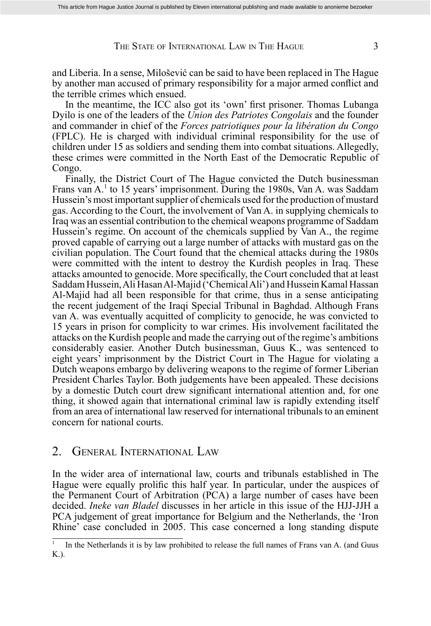#### THE STATE OF INTERNATIONAL LAW IN THE HAGUE 3

and Liberia. In a sense, Milošević can be said to have been replaced in The Hague by another man accused of primary responsibility for a major armed conflict and the terrible crimes which ensued.

In the meantime, the ICC also got its 'own' first prisoner. Thomas Lubanga Dyilo is one of the leaders of the *Union des Patriotes Congolais* and the founder and commander in chief of the *Forces patriotiques pour la libération du Congo* (FPLC). He is charged with individual criminal responsibility for the use of children under 15 as soldiers and sending them into combat situations. Allegedly, these crimes were committed in the North East of the Democratic Republic of Congo.

 Finally, the District Court of The Hague convicted the Dutch businessman Frans van A.<sup>1</sup> to 15 years' imprisonment. During the 1980s, Van A. was Saddam Hussein's most important supplier of chemicals used for the production of mustard gas. According to the Court, the involvement of Van A. in supplying chemicals to Iraq was an essential contribution to the chemical weapons programme of Saddam Hussein's regime. On account of the chemicals supplied by Van A., the regime proved capable of carrying out a large number of attacks with mustard gas on the civilian population. The Court found that the chemical attacks during the 1980s were committed with the intent to destroy the Kurdish peoples in Iraq. These attacks amounted to genocide. More specifically, the Court concluded that at least Saddam Hussein, Ali Hasan Al-Majid ('Chemical Ali') and Hussein Kamal Hassan Al-Majid had all been responsible for that crime, thus in a sense anticipating the recent judgement of the Iraqi Special Tribunal in Baghdad. Although Frans van A. was eventually acquitted of complicity to genocide, he was convicted to 15 years in prison for complicity to war crimes. His involvement facilitated the attacks on the Kurdish people and made the carrying out of the regime's ambitions considerably easier. Another Dutch businessman, Guus K., was sentenced to eight years' imprisonment by the District Court in The Hague for violating a Dutch weapons embargo by delivering weapons to the regime of former Liberian President Charles Taylor. Both judgements have been appealed. These decisions by a domestic Dutch court drew significant international attention and, for one thing, it showed again that international criminal law is rapidly extending itself from an area of international law reserved for international tribunals to an eminent concern for national courts.

#### 2. GENERAL INTERNATIONAL LAW

In the wider area of international law, courts and tribunals established in The Hague were equally prolific this half year. In particular, under the auspices of the Permanent Court of Arbitration (PCA) a large number of cases have been decided. *Ineke van Bladel* discusses in her article in this issue of the HJJ-JJH a PCA judgement of great importance for Belgium and the Netherlands, the 'Iron Rhine' case concluded in 2005. This case concerned a long standing dispute

<sup>1</sup> In the Netherlands it is by law prohibited to release the full names of Frans van A. (and Guus K.).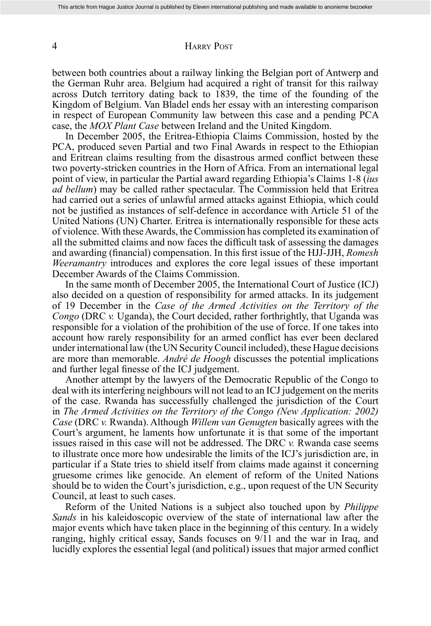#### 4 HARRY POST

between both countries about a railway linking the Belgian port of Antwerp and the German Ruhr area. Belgium had acquired a right of transit for this railway across Dutch territory dating back to 1839, the time of the founding of the Kingdom of Belgium. Van Bladel ends her essay with an interesting comparison in respect of European Community law between this case and a pending PCA case, the *MOX Plant Case* between Ireland and the United Kingdom.

 In December 2005, the Eritrea-Ethiopia Claims Commission, hosted by the PCA, produced seven Partial and two Final Awards in respect to the Ethiopian and Eritrean claims resulting from the disastrous armed conflict between these two poverty-stricken countries in the Horn of Africa. From an international legal point of view, in particular the Partial award regarding Ethiopia's Claims 1-8 (*ius ad bellum*) may be called rather spectacular. The Commission held that Eritrea had carried out a series of unlawful armed attacks against Ethiopia, which could not be justified as instances of self-defence in accordance with Article 51 of the United Nations (UN) Charter. Eritrea is internationally responsible for these acts of violence. With these Awards, the Commission has completed its examination of all the submitted claims and now faces the difficult task of assessing the damages and awarding (financial) compensation. In this first issue of the HJJ-JJH, *Romesh Weeramantry* introduces and explores the core legal issues of these important December Awards of the Claims Commission.

 In the same month of December 2005, the International Court of Justice (ICJ) also decided on a question of responsibility for armed attacks. In its judgement of 19 December in the *Case of the Armed Activities on the Territory of the Congo* (DRC *v.* Uganda), the Court decided, rather forthrightly, that Uganda was responsible for a violation of the prohibition of the use of force. If one takes into account how rarely responsibility for an armed conflict has ever been declared under international law (the UN Security Council included), these Hague decisions are more than memorable. *André de Hoogh* discusses the potential implications and further legal finesse of the ICJ judgement.

 Another attempt by the lawyers of the Democratic Republic of the Congo to deal with its interfering neighbours will not lead to an ICJ judgement on the merits of the case. Rwanda has successfully challenged the jurisdiction of the Court in *The Armed Activities on the Territory of the Congo (New Application: 2002) Case* (DRC *v.* Rwanda). Although *Willem van Genugten* basically agrees with the Court's argument, he laments how unfortunate it is that some of the important issues raised in this case will not be addressed. The DRC *v.* Rwanda case seems to illustrate once more how undesirable the limits of the ICJ's jurisdiction are, in particular if a State tries to shield itself from claims made against it concerning gruesome crimes like genocide. An element of reform of the United Nations should be to widen the Court's jurisdiction, e.g., upon request of the UN Security Council, at least to such cases.

 Reform of the United Nations is a subject also touched upon by *Philippe Sands* in his kaleidoscopic overview of the state of international law after the major events which have taken place in the beginning of this century. In a widely ranging, highly critical essay, Sands focuses on 9/11 and the war in Iraq, and lucidly explores the essential legal (and political) issues that major armed conflict